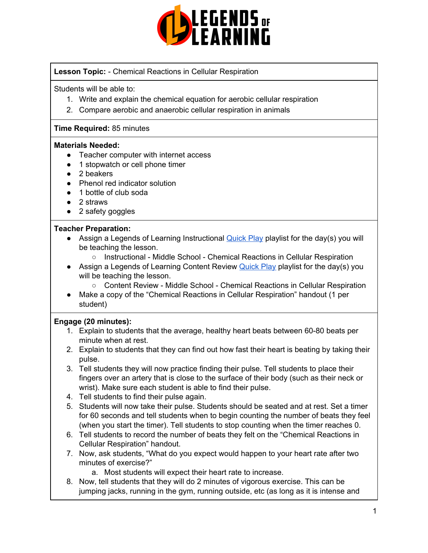

## **Lesson Topic:** - Chemical Reactions in Cellular Respiration

Students will be able to:

- 1. Write and explain the chemical equation for aerobic cellular respiration
- 2. Compare aerobic and anaerobic cellular respiration in animals

## **Time Required:** 85 minutes

#### **Materials Needed:**

- Teacher computer with internet access
- 1 stopwatch or cell phone timer
- 2 beakers
- Phenol red indicator solution
- 1 bottle of club soda
- 2 straws
- 2 safety goggles

## **Teacher Preparation:**

- Assign a Legends of Learning Instructional **[Quick](https://intercom.help/legends-of-learning/en/articles/2701866-assigning-a-quick-play-playlist) Play playlist for the day(s)** you will be teaching the lesson.
	- Instructional Middle School Chemical Reactions in Cellular Respiration
- Assign a Legends of Learning Content Review [Quick](https://intercom.help/legends-of-learning/en/articles/2701866-assigning-a-quick-play-playlist) Play playlist for the day(s) you will be teaching the lesson.
	- Content Review Middle School Chemical Reactions in Cellular Respiration
- Make a copy of the "Chemical Reactions in Cellular Respiration" handout (1 per student)

## **Engage (20 minutes):**

- 1. Explain to students that the average, healthy heart beats between 60-80 beats per minute when at rest.
- 2. Explain to students that they can find out how fast their heart is beating by taking their pulse.
- 3. Tell students they will now practice finding their pulse. Tell students to place their fingers over an artery that is close to the surface of their body (such as their neck or wrist). Make sure each student is able to find their pulse.
- 4. Tell students to find their pulse again.
- 5. Students will now take their pulse. Students should be seated and at rest. Set a timer for 60 seconds and tell students when to begin counting the number of beats they feel (when you start the timer). Tell students to stop counting when the timer reaches 0.
- 6. Tell students to record the number of beats they felt on the "Chemical Reactions in Cellular Respiration" handout.
- 7. Now, ask students, "What do you expect would happen to your heart rate after two minutes of exercise?"
	- a. Most students will expect their heart rate to increase.
- 8. Now, tell students that they will do 2 minutes of vigorous exercise. This can be jumping jacks, running in the gym, running outside, etc (as long as it is intense and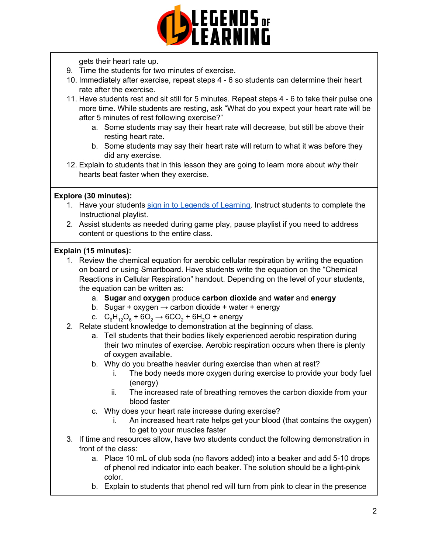

gets their heart rate up.

- 9. Time the students for two minutes of exercise.
- 10. Immediately after exercise, repeat steps 4 6 so students can determine their heart rate after the exercise.
- 11. Have students rest and sit still for 5 minutes. Repeat steps 4 6 to take their pulse one more time. While students are resting, ask "What do you expect your heart rate will be after 5 minutes of rest following exercise?"
	- a. Some students may say their heart rate will decrease, but still be above their resting heart rate.
	- b. Some students may say their heart rate will return to what it was before they did any exercise.
- 12. Explain to students that in this lesson they are going to learn more about *why* their hearts beat faster when they exercise.

# **Explore (30 minutes):**

- 1. Have your students sign in to Legends of [Learning](https://intercom.help/legends-of-learning/en/articles/2154920-students-joining-a-playlist). Instruct students to complete the Instructional playlist.
- 2. Assist students as needed during game play, pause playlist if you need to address content or questions to the entire class.

# **Explain (15 minutes):**

- 1. Review the chemical equation for aerobic cellular respiration by writing the equation on board or using Smartboard. Have students write the equation on the "Chemical Reactions in Cellular Respiration" handout. Depending on the level of your students, the equation can be written as:
	- a. **Sugar** and **oxygen** produce **carbon dioxide** and **water** and **energy**
	- b. Sugar + oxygen  $\rightarrow$  carbon dioxide + water + energy
	- c.  $C_6H_{12}O_6 + 6O_2 \rightarrow 6CO_2 + 6H_2O +$  energy
- 2. Relate student knowledge to demonstration at the beginning of class.
	- a. Tell students that their bodies likely experienced aerobic respiration during their two minutes of exercise. Aerobic respiration occurs when there is plenty of oxygen available.
	- b. Why do you breathe heavier during exercise than when at rest?
		- i. The body needs more oxygen during exercise to provide your body fuel (energy)
		- ii. The increased rate of breathing removes the carbon dioxide from your blood faster
	- c. Why does your heart rate increase during exercise?
		- i. An increased heart rate helps get your blood (that contains the oxygen) to get to your muscles faster
- 3. If time and resources allow, have two students conduct the following demonstration in front of the class:
	- a. Place 10 mL of club soda (no flavors added) into a beaker and add 5-10 drops of phenol red indicator into each beaker. The solution should be a light-pink color.
	- b. Explain to students that phenol red will turn from pink to clear in the presence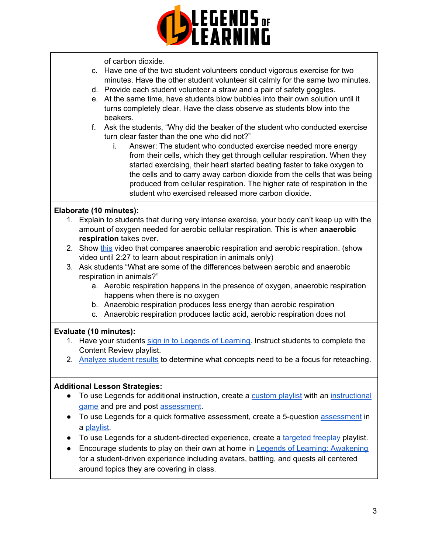

of carbon dioxide.

- c. Have one of the two student volunteers conduct vigorous exercise for two minutes. Have the other student volunteer sit calmly for the same two minutes.
- d. Provide each student volunteer a straw and a pair of safety goggles.
- e. At the same time, have students blow bubbles into their own solution until it turns completely clear. Have the class observe as students blow into the beakers.
- f. Ask the students, "Why did the beaker of the student who conducted exercise turn clear faster than the one who did not?"
	- i. Answer: The student who conducted exercise needed more energy from their cells, which they get through cellular respiration. When they started exercising, their heart started beating faster to take oxygen to the cells and to carry away carbon dioxide from the cells that was being produced from cellular respiration. The higher rate of respiration in the student who exercised released more carbon dioxide.

## **Elaborate (10 minutes):**

- 1. Explain to students that during very intense exercise, your body can't keep up with the amount of oxygen needed for aerobic cellular respiration. This is when **anaerobic respiration** takes over.
- 2. Show [this](https://www.youtube.com/watch?v=HZtXLhm7ISA) video that compares anaerobic respiration and aerobic respiration. (show video until 2:27 to learn about respiration in animals only)
- 3. Ask students "What are some of the differences between aerobic and anaerobic respiration in animals?"
	- a. Aerobic respiration happens in the presence of oxygen, anaerobic respiration happens when there is no oxygen
	- b. Anaerobic respiration produces less energy than aerobic respiration
	- c. Anaerobic respiration produces lactic acid, aerobic respiration does not

## **Evaluate (10 minutes):**

- 1. Have your students sign in to Legends of [Learning](https://intercom.help/legends-of-learning/en/articles/2154920-students-joining-a-playlist). Instruct students to complete the Content Review playlist.
- 2. [Analyze](https://intercom.help/legends-of-learning/en/articles/2154918-tracking-student-progress-and-performance) student results to determine what concepts need to be a focus for reteaching.

#### **Additional Lesson Strategies:**

- To use Legends for additional instruction, create a [custom](https://intercom.help/legends-of-learning/en/articles/2154910-creating-a-playlist) playlist with an [instructional](https://intercom.help/legends-of-learning/en/articles/3505828-types-of-games) [game](https://intercom.help/legends-of-learning/en/articles/3505828-types-of-games) and pre and post [assessment](https://intercom.help/legends-of-learning/en/articles/2154913-adding-assessments-to-a-playlist).
- To use Legends for a quick formative [assessment](https://intercom.help/legends-of-learning/en/articles/2154913-adding-assessments-to-a-playlist), create a 5-question assessment in a [playlist](https://intercom.help/legends-of-learning/en/articles/2154910-creating-a-playlist).
- To use Legends for a student-directed experience, create a [targeted](https://intercom.help/legends-of-learning/en/articles/3340814-targeted-freeplay) freeplay playlist.
- Encourage students to play on their own at home in Legends of Learning: [Awakening](https://intercom.help/legends-of-learning/en/articles/2425490-legends-of-learning-awakening) for a student-driven experience including avatars, battling, and quests all centered around topics they are covering in class.